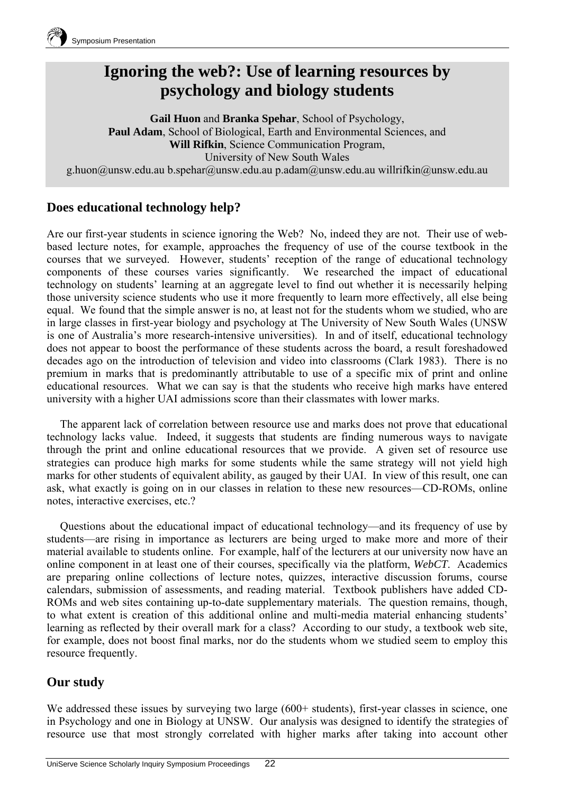

# **Ignoring the web?: Use of learning resources by psychology and biology students**

**Gail Huon** and **Branka Spehar**, School of Psychology, **Paul Adam**, School of Biological, Earth and Environmental Sciences, and **Will Rifkin**, Science Communication Program, University of New South Wales g.huon@unsw.edu.au b.spehar@unsw.edu.au p.adam@unsw.edu.au willrifkin@unsw.edu.au

## **Does educational technology help?**

Are our first-year students in science ignoring the Web? No, indeed they are not. Their use of webbased lecture notes, for example, approaches the frequency of use of the course textbook in the courses that we surveyed. However, students' reception of the range of educational technology components of these courses varies significantly. We researched the impact of educational technology on students' learning at an aggregate level to find out whether it is necessarily helping those university science students who use it more frequently to learn more effectively, all else being equal. We found that the simple answer is no, at least not for the students whom we studied, who are in large classes in first-year biology and psychology at The University of New South Wales (UNSW is one of Australia's more research-intensive universities). In and of itself, educational technology does not appear to boost the performance of these students across the board, a result foreshadowed decades ago on the introduction of television and video into classrooms (Clark 1983). There is no premium in marks that is predominantly attributable to use of a specific mix of print and online educational resources. What we can say is that the students who receive high marks have entered university with a higher UAI admissions score than their classmates with lower marks.

The apparent lack of correlation between resource use and marks does not prove that educational technology lacks value. Indeed, it suggests that students are finding numerous ways to navigate through the print and online educational resources that we provide. A given set of resource use strategies can produce high marks for some students while the same strategy will not yield high marks for other students of equivalent ability, as gauged by their UAI. In view of this result, one can ask, what exactly is going on in our classes in relation to these new resources—CD-ROMs, online notes, interactive exercises, etc.?

Questions about the educational impact of educational technology—and its frequency of use by students—are rising in importance as lecturers are being urged to make more and more of their material available to students online. For example, half of the lecturers at our university now have an online component in at least one of their courses, specifically via the platform, *WebCT*. Academics are preparing online collections of lecture notes, quizzes, interactive discussion forums, course calendars, submission of assessments, and reading material. Textbook publishers have added CD-ROMs and web sites containing up-to-date supplementary materials. The question remains, though, to what extent is creation of this additional online and multi-media material enhancing students' learning as reflected by their overall mark for a class? According to our study, a textbook web site, for example, does not boost final marks, nor do the students whom we studied seem to employ this resource frequently.

### **Our study**

We addressed these issues by surveying two large (600+ students), first-year classes in science, one in Psychology and one in Biology at UNSW. Our analysis was designed to identify the strategies of resource use that most strongly correlated with higher marks after taking into account other